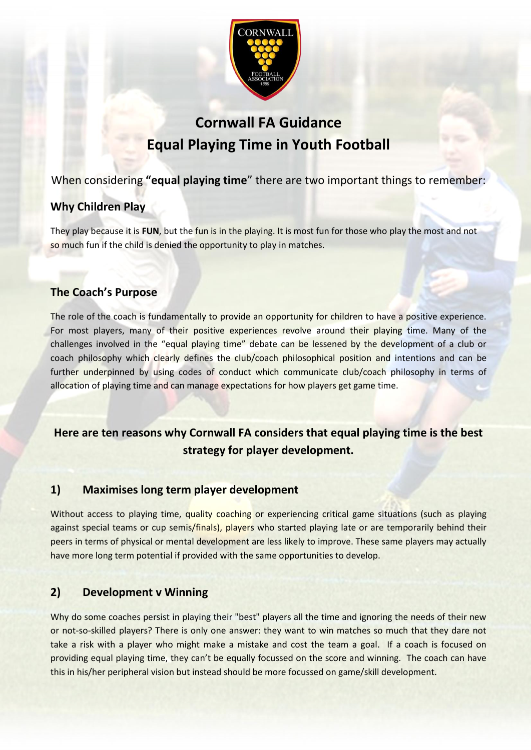

# **Cornwall FA Guidance Equal Playing Time in Youth Football**

## When considering **"equal playing time**" there are two important things to remember:

## **Why Children Play**

They play because it is **FUN**, but the fun is in the playing. It is most fun for those who play the most and not so much fun if the child is denied the opportunity to play in matches.

## **The Coach's Purpose**

The role of the coach is fundamentally to provide an opportunity for children to have a positive experience. For most players, many of their positive experiences revolve around their playing time. Many of the challenges involved in the "equal playing time" debate can be lessened by the development of a club or coach philosophy which clearly defines the club/coach philosophical position and intentions and can be further underpinned by using codes of conduct which communicate club/coach philosophy in terms of allocation of playing time and can manage expectations for how players get game time.

## **Here are ten reasons why Cornwall FA considers that equal playing time is the best strategy for player development.**

## **1) Maximises long term player development**

Without access to playing time, quality coaching or experiencing critical game situations (such as playing against special teams or cup semis/finals), players who started playing late or are temporarily behind their peers in terms of physical or mental development are less likely to improve. These same players may actually have more long term potential if provided with the same opportunities to develop.

## **2) Development v Winning**

Why do some coaches persist in playing their "best" players all the time and ignoring the needs of their new or not-so-skilled players? There is only one answer: they want to win matches so much that they dare not take a risk with a player who might make a mistake and cost the team a goal. If a coach is focused on providing equal playing time, they can't be equally focussed on the score and winning. The coach can have this in his/her peripheral vision but instead should be more focussed on game/skill development.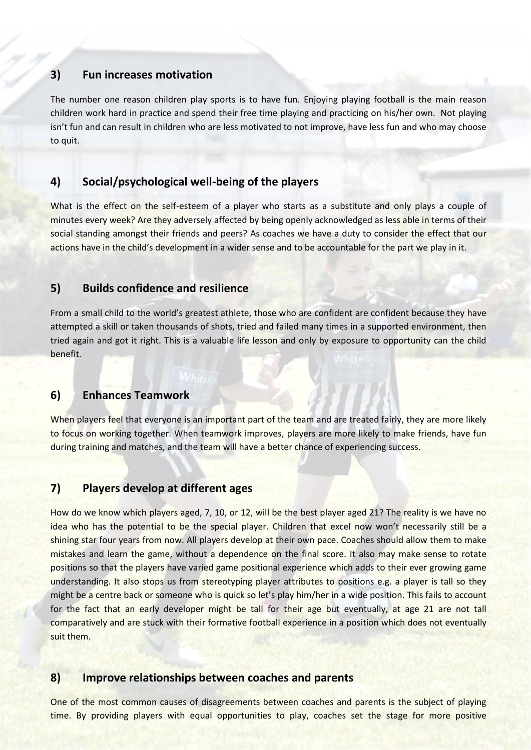### **3) Fun increases motivation**

The number one reason children play sports is to have fun. Enjoying playing football is the main reason children work hard in practice and spend their free time playing and practicing on his/her own. Not playing isn't fun and can result in children who are less motivated to not improve, have less fun and who may choose to quit.

### **4) Social/psychological well-being of the players**

What is the effect on the self-esteem of a player who starts as a substitute and only plays a couple of minutes every week? Are they adversely affected by being openly acknowledged as less able in terms of their social standing amongst their friends and peers? As coaches we have a duty to consider the effect that our actions have in the child's development in a wider sense and to be accountable for the part we play in it.

#### **5) Builds confidence and resilience**

From a small child to the world's greatest athlete, those who are confident are confident because they have attempted a skill or taken thousands of shots, tried and failed many times in a supported environment, then tried again and got it right. This is a valuable life lesson and only by exposure to opportunity can the child benefit.

#### **6) Enhances Teamwork**

When players feel that everyone is an important part of the team and are treated fairly, they are more likely to focus on working together. When teamwork improves, players are more likely to make friends, have fun during training and matches, and the team will have a better chance of experiencing success.

#### **7) Players develop at different ages**

How do we know which players aged, 7, 10, or 12, will be the best player aged 21? The reality is we have no idea who has the potential to be the special player. Children that excel now won't necessarily still be a shining star four years from now. All players develop at their own pace. Coaches should allow them to make mistakes and learn the game, without a dependence on the final score. It also may make sense to rotate positions so that the players have varied game positional experience which adds to their ever growing game understanding. It also stops us from stereotyping player attributes to positions e.g. a player is tall so they might be a centre back or someone who is quick so let's play him/her in a wide position. This fails to account for the fact that an early developer might be tall for their age but eventually, at age 21 are not tall comparatively and are stuck with their formative football experience in a position which does not eventually suit them.

#### **8) Improve relationships between coaches and parents**

One of the most common causes of disagreements between coaches and parents is the subject of playing time. By providing players with equal opportunities to play, coaches set the stage for more positive